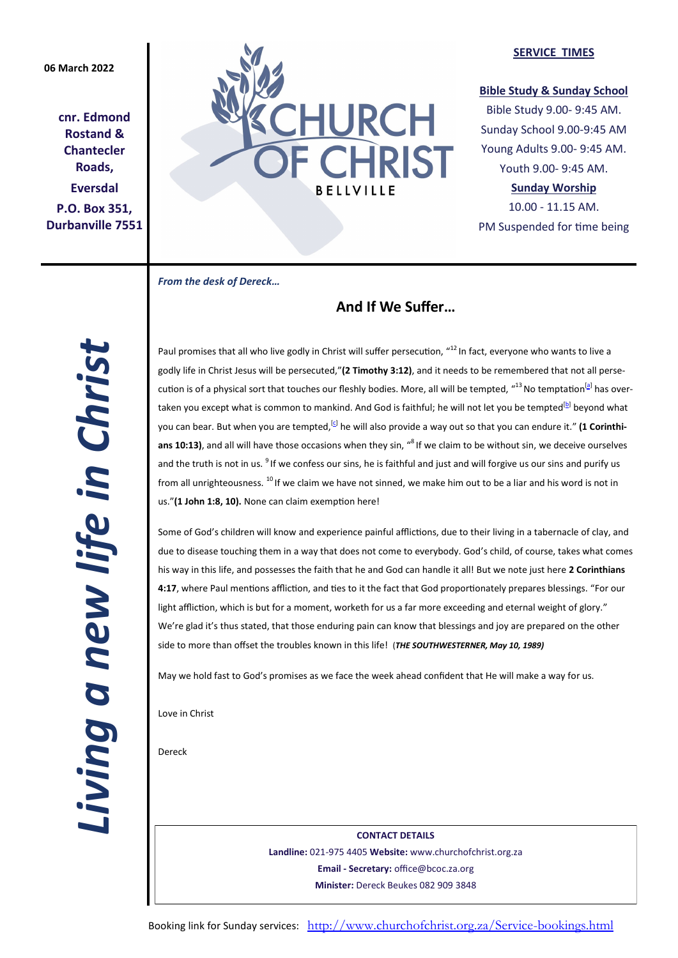# **06 March 2022**

**cnr. Edmond Rostand & Chantecler Roads, Eversdal P.O. Box 351, Durbanville 7551**



#### **SERVICE TIMES**

### **Bible Study & Sunday School**

Bible Study 9.00- 9:45 AM. Sunday School 9.00-9:45 AM Young Adults 9.00- 9:45 AM. Youth 9.00- 9:45 AM.

**Sunday Worship** 

10.00 - 11.15 AM. PM Suspended for time being

*From the desk of Dereck…* 

# **And If We Suffer…**

*Living a new life in Christ*  Living a new life in Christ

Paul promises that all who live godly in Christ will suffer persecution, "<sup>12</sup> In fact, everyone who wants to live a godly life in Christ Jesus will be persecuted,"**(2 Timothy 3:12)**, and it needs to be remembered that not all persecution is of a physical sort that touches our fleshly bodies. More, all will be tempted, "<sup>13</sup> No temptation<sup>[[a\]](https://www.biblegateway.com/passage/?search=1+Cor+10%3A13&version=NIV#fen-NIV-28581a)</sup> has overtaken you except what is common to mankind. And God is faithful; he will not let you be tempted<sup>[[b\]](https://www.biblegateway.com/passage/?search=1+Cor+10%3A13&version=NIV#fen-NIV-28581b)</sup> beyond what you can bear. But when you are tempted,<sup>[\[c\]](https://www.biblegateway.com/passage/?search=1+Cor+10%3A13&version=NIV#fen-NIV-28581c)</sup> he will also provide a way out so that you can endure it." **(1 Corinthi**ans 10:13), and all will have those occasions when they sin, "<sup>8</sup> If we claim to be without sin, we deceive ourselves and the truth is not in us. <sup>9</sup> If we confess our sins, he is faithful and just and will forgive us our sins and purify us from all unrighteousness. <sup>10</sup> If we claim we have not sinned, we make him out to be a liar and his word is not in us."**(1 John 1:8, 10).** None can claim exemption here!

Some of God's children will know and experience painful afflictions, due to their living in a tabernacle of clay, and due to disease touching them in a way that does not come to everybody. God's child, of course, takes what comes his way in this life, and possesses the faith that he and God can handle it all! But we note just here **2 Corinthians 4:17**, where Paul mentions affliction, and ties to it the fact that God proportionately prepares blessings. "For our light affliction, which is but for a moment, worketh for us a far more exceeding and eternal weight of glory." We're glad it's thus stated, that those enduring pain can know that blessings and joy are prepared on the other side to more than offset the troubles known in this life! (*THE SOUTHWESTERNER, May 10, 1989)*

May we hold fast to God's promises as we face the week ahead confident that He will make a way for us.

Love in Christ

Dereck

**CONTACT DETAILS Landline:** 021-975 4405 **Website:** www.churchofchrist.org.za **Email - Secretary:** office@bcoc.za.org **Minister:** Dereck Beukes 082 909 3848